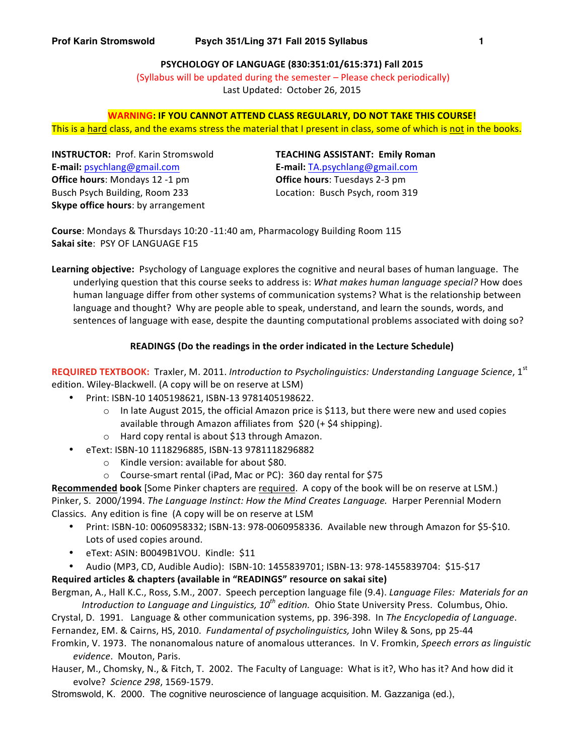**PSYCHOLOGY OF LANGUAGE (830:351:01/615:371) Fall 2015** (Syllabus will be updated during the semester – Please check periodically) Last Updated: October 26, 2015

# **WARNING: IF YOU CANNOT ATTEND CLASS REGULARLY, DO NOT TAKE THIS COURSE!** This is a hard class, and the exams stress the material that I present in class, some of which is not in the books.

**INSTRUCTOR:** Prof. Karin Stromswold **TEACHING ASSISTANT: Emily Roman E-mail:** psychlang@gmail.com **E-mail:** TA.psychlang@gmail.com **Office hours:** Mondays 12 -1 pm Busch Psych Building, Room 233 **Skype office hours:** by arrangement

**Office hours:** Tuesdays 2-3 pm Location: Busch Psych, room 319

**Course:** Mondays & Thursdays 10:20 -11:40 am, Pharmacology Building Room 115 Sakai site: PSY OF LANGUAGE F15

**Learning objective:** Psychology of Language explores the cognitive and neural bases of human language. The underlying question that this course seeks to address is: *What makes human language special?* How does human language differ from other systems of communication systems? What is the relationship between language and thought? Why are people able to speak, understand, and learn the sounds, words, and sentences of language with ease, despite the daunting computational problems associated with doing so?

# **READINGS** (Do the readings in the order indicated in the Lecture Schedule)

REQUIRED TEXTBOOK: Traxler, M. 2011. Introduction to Psycholinguistics: Understanding Language Science, 1<sup>st</sup> edition. Wiley-Blackwell. (A copy will be on reserve at LSM)

- Print: ISBN-10 1405198621, ISBN-13 9781405198622.
	- $\circ$  In late August 2015, the official Amazon price is \$113, but there were new and used copies available through Amazon affiliates from  $$20$  (+  $$4$  shipping).
	- $\circ$  Hard copy rental is about \$13 through Amazon.
- eText: ISBN-10 1118296885, ISBN-13 9781118296882
	- $\circ$  Kindle version: available for about \$80.
	- $\circ$  Course-smart rental (iPad, Mac or PC): 360 day rental for \$75

**Recommended book** [Some Pinker chapters are required. A copy of the book will be on reserve at LSM.) Pinker, S. 2000/1994. *The Language Instinct: How the Mind Creates Language.* Harper Perennial Modern Classics. Any edition is fine (A copy will be on reserve at LSM

- Print: ISBN-10: 0060958332; ISBN-13: 978-0060958336. Available new through Amazon for \$5-\$10. Lots of used copies around.
- eText: ASIN: B0049B1VOU. Kindle: \$11
- Audio (MP3, CD, Audible Audio): ISBN-10: 1455839701; ISBN-13: 978-1455839704: \$15-\$17

# Required articles & chapters (available in "READINGS" resource on sakai site)

Bergman, A., Hall K.C., Ross, S.M., 2007. Speech perception language file (9.4). *Language Files: Materials for an Introduction to Language and Linguistics, 10<sup>th</sup> edition.* Ohio State University Press. Columbus, Ohio.

Crystal, D. 1991. Language & other communication systems, pp. 396-398. In The Encyclopedia of Language.

Fernandez, EM. & Cairns, HS, 2010. *Fundamental of psycholinguistics*, John Wiley & Sons, pp 25-44

Fromkin, V. 1973. The nonanomalous nature of anomalous utterances. In V. Fromkin, Speech errors as linguistic *evidence*. Mouton, Paris.

Hauser, M., Chomsky, N., & Fitch, T. 2002. The Faculty of Language: What is it?, Who has it? And how did it evolve? *Science 298*, 1569-1579.

Stromswold, K. 2000. The cognitive neuroscience of language acquisition. M. Gazzaniga (ed.),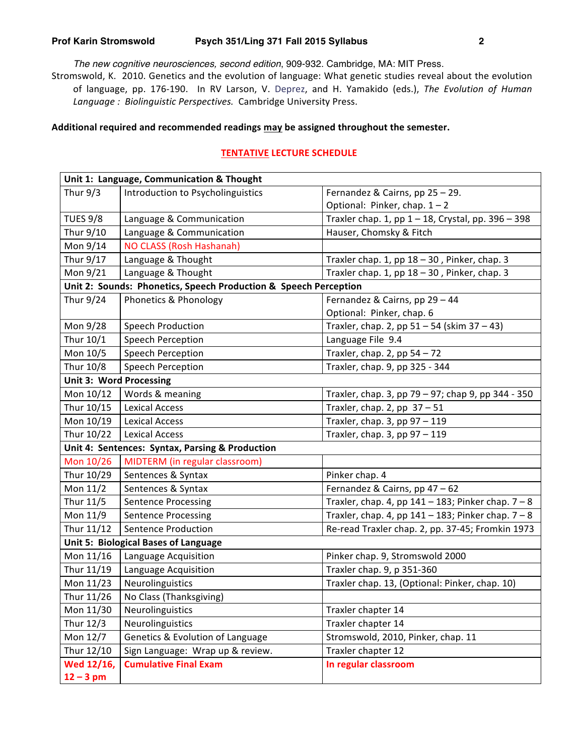*The new cognitive neurosciences, second edition*, 909-932. Cambridge, MA: MIT Press.

Stromswold, K. 2010. Genetics and the evolution of language: What genetic studies reveal about the evolution of language, pp. 176-190. In RV Larson, V. Deprez, and H. Yamakido (eds.), The Evolution of Human Language : Biolinguistic Perspectives. Cambridge University Press.

### Additional required and recommended readings may be assigned throughout the semester.

# **TENTATIVE LECTURE SCHEDULE**

| Unit 1: Language, Communication & Thought                        |                                   |                                                         |  |
|------------------------------------------------------------------|-----------------------------------|---------------------------------------------------------|--|
| Thur $9/3$                                                       | Introduction to Psycholinguistics | Fernandez & Cairns, pp 25 - 29.                         |  |
|                                                                  |                                   | Optional: Pinker, chap. 1-2                             |  |
| <b>TUES 9/8</b>                                                  | Language & Communication          | Traxler chap. 1, pp 1 - 18, Crystal, pp. 396 - 398      |  |
| Thur 9/10                                                        | Language & Communication          | Hauser, Chomsky & Fitch                                 |  |
| Mon 9/14                                                         | NO CLASS (Rosh Hashanah)          |                                                         |  |
| Thur 9/17                                                        | Language & Thought                | Traxler chap. 1, pp $18 - 30$ , Pinker, chap. 3         |  |
| Mon 9/21                                                         | Language & Thought                | Traxler chap. 1, pp 18 - 30, Pinker, chap. 3            |  |
| Unit 2: Sounds: Phonetics, Speech Production & Speech Perception |                                   |                                                         |  |
| Thur 9/24                                                        | Phonetics & Phonology             | Fernandez & Cairns, pp 29 - 44                          |  |
|                                                                  |                                   | Optional: Pinker, chap. 6                               |  |
| Mon 9/28                                                         | <b>Speech Production</b>          | Traxler, chap. 2, pp $51 - 54$ (skim $37 - 43$ )        |  |
| Thur 10/1                                                        | Speech Perception                 | Language File 9.4                                       |  |
| Mon 10/5                                                         | Speech Perception                 | Traxler, chap. 2, pp $54 - 72$                          |  |
| Thur 10/8                                                        | Speech Perception                 | Traxler, chap. 9, pp 325 - 344                          |  |
| <b>Unit 3: Word Processing</b>                                   |                                   |                                                         |  |
| Mon 10/12                                                        | Words & meaning                   | Traxler, chap. 3, pp 79 - 97; chap 9, pp 344 - 350      |  |
| Thur 10/15                                                       | <b>Lexical Access</b>             | Traxler, chap. 2, pp $37 - 51$                          |  |
| Mon 10/19                                                        | <b>Lexical Access</b>             | Traxler, chap. 3, pp 97 - 119                           |  |
| Thur 10/22                                                       | <b>Lexical Access</b>             | Traxler, chap. $3$ , pp $97 - 119$                      |  |
| Unit 4: Sentences: Syntax, Parsing & Production                  |                                   |                                                         |  |
| Mon 10/26                                                        | MIDTERM (in regular classroom)    |                                                         |  |
| Thur 10/29                                                       | Sentences & Syntax                | Pinker chap. 4                                          |  |
| Mon 11/2                                                         | Sentences & Syntax                | Fernandez & Cairns, pp 47 - 62                          |  |
| Thur 11/5                                                        | <b>Sentence Processing</b>        | Traxler, chap. 4, pp $141 - 183$ ; Pinker chap. $7 - 8$ |  |
| Mon 11/9                                                         | <b>Sentence Processing</b>        | Traxler, chap. 4, pp $141 - 183$ ; Pinker chap. $7 - 8$ |  |
| Thur 11/12                                                       | Sentence Production               | Re-read Traxler chap. 2, pp. 37-45; Fromkin 1973        |  |
| <b>Unit 5: Biological Bases of Language</b>                      |                                   |                                                         |  |
| Mon 11/16                                                        | Language Acquisition              | Pinker chap. 9, Stromswold 2000                         |  |
| Thur 11/19                                                       | Language Acquisition              | Traxler chap. 9, p 351-360                              |  |
| Mon 11/23                                                        | Neurolinguistics                  | Traxler chap. 13, (Optional: Pinker, chap. 10)          |  |
| Thur 11/26                                                       | No Class (Thanksgiving)           |                                                         |  |
| Mon 11/30                                                        | Neurolinguistics                  | Traxler chapter 14                                      |  |
| Thur 12/3                                                        | Neurolinguistics                  | Traxler chapter 14                                      |  |
| Mon 12/7                                                         | Genetics & Evolution of Language  | Stromswold, 2010, Pinker, chap. 11                      |  |
| Thur 12/10                                                       | Sign Language: Wrap up & review.  | Traxler chapter 12                                      |  |
| Wed 12/16,                                                       | <b>Cumulative Final Exam</b>      | In regular classroom                                    |  |
| $12 - 3$ pm                                                      |                                   |                                                         |  |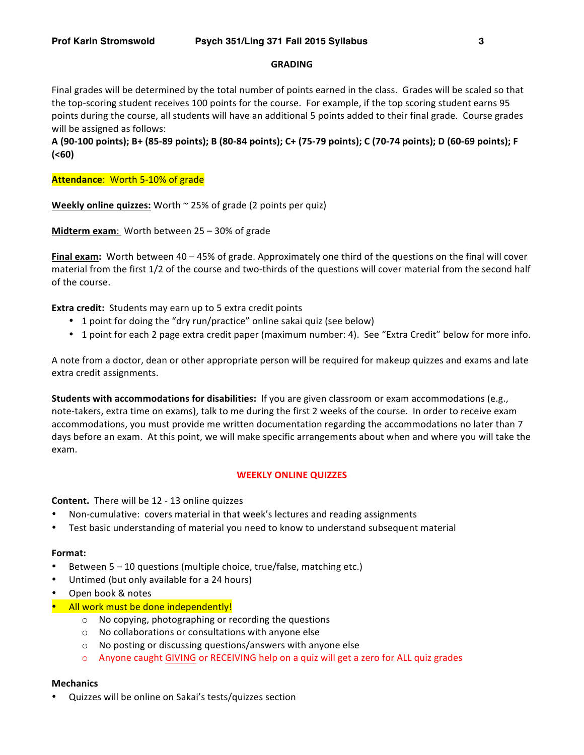#### **GRADING**

Final grades will be determined by the total number of points earned in the class. Grades will be scaled so that the top-scoring student receives 100 points for the course. For example, if the top scoring student earns 95 points during the course, all students will have an additional 5 points added to their final grade. Course grades will be assigned as follows:

**A** (90-100 points); B+ (85-89 points); B (80-84 points); C+ (75-79 points); C (70-74 points); D (60-69 points); F **(<60)**

**Attendance:** Worth 5-10% of grade

**Weekly online quizzes:** Worth  $\sim$  25% of grade (2 points per quiz)

**Midterm exam:** Worth between 25 – 30% of grade

**Final exam:** Worth between 40 – 45% of grade. Approximately one third of the questions on the final will cover material from the first 1/2 of the course and two-thirds of the questions will cover material from the second half of the course.

**Extra credit:** Students may earn up to 5 extra credit points

- 1 point for doing the "dry run/practice" online sakai quiz (see below)
- 1 point for each 2 page extra credit paper (maximum number: 4). See "Extra Credit" below for more info.

A note from a doctor, dean or other appropriate person will be required for makeup quizzes and exams and late extra credit assignments.

**Students with accommodations for disabilities:** If you are given classroom or exam accommodations (e.g., note-takers, extra time on exams), talk to me during the first 2 weeks of the course. In order to receive exam accommodations, you must provide me written documentation regarding the accommodations no later than 7 days before an exam. At this point, we will make specific arrangements about when and where you will take the exam. 

#### **WEEKLY ONLINE QUIZZES**

**Content.** There will be 12 - 13 online quizzes

- Non-cumulative: covers material in that week's lectures and reading assignments
- Test basic understanding of material you need to know to understand subsequent material

#### **Format:**

- Between  $5 10$  questions (multiple choice, true/false, matching etc.)
- Untimed (but only available for a 24 hours)
- Open book & notes
- All work must be done independently!
	- $\circ$  No copying, photographing or recording the questions
	- $\circ$  No collaborations or consultations with anyone else
	- $\circ$  No posting or discussing questions/answers with anyone else
	- $\circ$  Anyone caught GIVING or RECEIVING help on a quiz will get a zero for ALL quiz grades

#### **Mechanics**

Quizzes will be online on Sakai's tests/quizzes section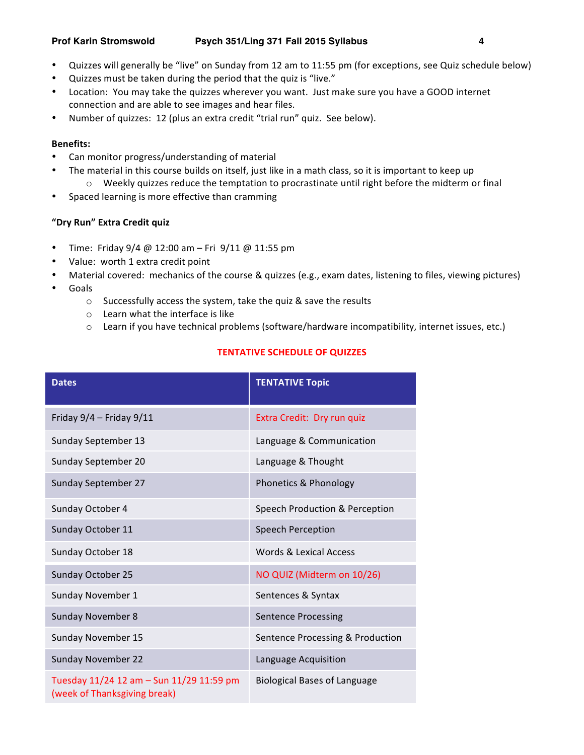- Quizzes will generally be "live" on Sunday from 12 am to 11:55 pm (for exceptions, see Quiz schedule below)
- Quizzes must be taken during the period that the quiz is "live."
- Location: You may take the quizzes wherever you want. Just make sure you have a GOOD internet connection and are able to see images and hear files.
- Number of quizzes: 12 (plus an extra credit "trial run" quiz. See below).

# **Benefits:**

- Can monitor progress/understanding of material
	- The material in this course builds on itself, just like in a math class, so it is important to keep up
	- $\circ$  Weekly quizzes reduce the temptation to procrastinate until right before the midterm or final
- Spaced learning is more effective than cramming

# **"Dry Run" Extra Credit quiz**

- Time: Friday  $9/4 \text{ } @$  12:00 am Fri  $9/11 \text{ } @$  11:55 pm
- Value: worth 1 extra credit point
- Material covered: mechanics of the course & quizzes (e.g., exam dates, listening to files, viewing pictures)
- Goals
	- $\circ$  Successfully access the system, take the quiz & save the results
	- $\circ$  Learn what the interface is like
	- $\circ$  Learn if you have technical problems (software/hardware incompatibility, internet issues, etc.)

# **TENTATIVE SCHEDULE OF QUIZZES**

| <b>Dates</b>                                                             | <b>TENTATIVE Topic</b>              |
|--------------------------------------------------------------------------|-------------------------------------|
| Friday $9/4$ - Friday $9/11$                                             | Extra Credit: Dry run quiz          |
| Sunday September 13                                                      | Language & Communication            |
| Sunday September 20                                                      | Language & Thought                  |
| <b>Sunday September 27</b>                                               | Phonetics & Phonology               |
| Sunday October 4                                                         | Speech Production & Perception      |
| Sunday October 11                                                        | Speech Perception                   |
| Sunday October 18                                                        | Words & Lexical Access              |
| Sunday October 25                                                        | NO QUIZ (Midterm on 10/26)          |
| Sunday November 1                                                        | Sentences & Syntax                  |
| <b>Sunday November 8</b>                                                 | <b>Sentence Processing</b>          |
| Sunday November 15                                                       | Sentence Processing & Production    |
| <b>Sunday November 22</b>                                                | Language Acquisition                |
| Tuesday 11/24 12 am - Sun 11/29 11:59 pm<br>(week of Thanksgiving break) | <b>Biological Bases of Language</b> |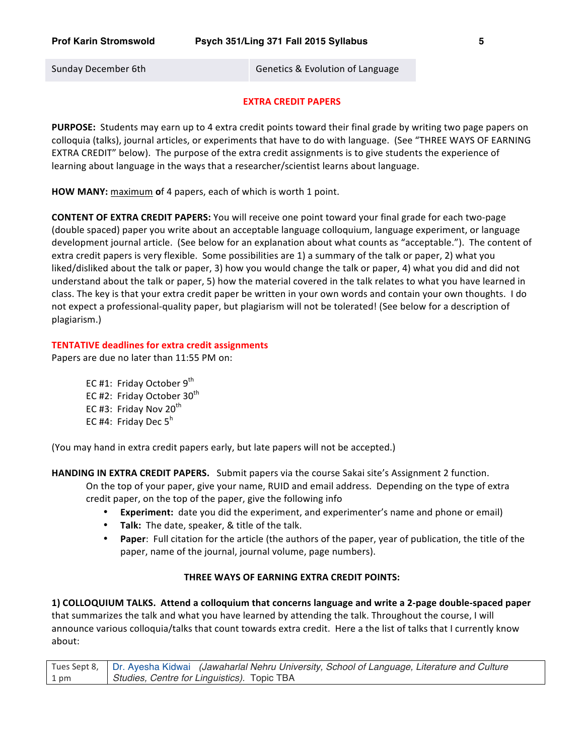Sunday December 6th Genetics & Evolution of Language

#### **EXTRA CREDIT PAPERS**

**PURPOSE:** Students may earn up to 4 extra credit points toward their final grade by writing two page papers on colloquia (talks), journal articles, or experiments that have to do with language. (See "THREE WAYS OF EARNING EXTRA CREDIT" below). The purpose of the extra credit assignments is to give students the experience of learning about language in the ways that a researcher/scientist learns about language.

**HOW MANY:** maximum of 4 papers, each of which is worth 1 point.

**CONTENT OF EXTRA CREDIT PAPERS:** You will receive one point toward your final grade for each two-page (double spaced) paper you write about an acceptable language colloquium, language experiment, or language development journal article. (See below for an explanation about what counts as "acceptable."). The content of extra credit papers is very flexible. Some possibilities are 1) a summary of the talk or paper, 2) what you liked/disliked about the talk or paper, 3) how you would change the talk or paper, 4) what you did and did not understand about the talk or paper, 5) how the material covered in the talk relates to what you have learned in class. The key is that your extra credit paper be written in your own words and contain your own thoughts. I do not expect a professional-quality paper, but plagiarism will not be tolerated! (See below for a description of plagiarism.)

#### **TENTATIVE deadlines for extra credit assignments**

Papers are due no later than 11:55 PM on:

EC #1: Friday October  $9^{th}$ EC #2: Friday October  $30<sup>th</sup>$ EC #3: Friday Nov  $20^{th}$ EC #4: Friday Dec  $5^h$ 

(You may hand in extra credit papers early, but late papers will not be accepted.)

**HANDING IN EXTRA CREDIT PAPERS.** Submit papers via the course Sakai site's Assignment 2 function.

On the top of your paper, give your name, RUID and email address. Depending on the type of extra credit paper, on the top of the paper, give the following info

- **Experiment:** date you did the experiment, and experimenter's name and phone or email)
- Talk: The date, speaker, & title of the talk.
- **Paper**: Full citation for the article (the authors of the paper, year of publication, the title of the paper, name of the journal, journal volume, page numbers).

# **THREE WAYS OF EARNING EXTRA CREDIT POINTS:**

**1)** COLLOQUIUM TALKS. Attend a colloquium that concerns language and write a 2-page double-spaced paper that summarizes the talk and what you have learned by attending the talk. Throughout the course, I will announce various colloquia/talks that count towards extra credit. Here a the list of talks that I currently know about: 

Tues Sept 8, 1 pm Dr. Ayesha Kidwai *(Jawaharlal Nehru University, School of Language, Literature and Culture Studies, Centre for Linguistics).* Topic TBA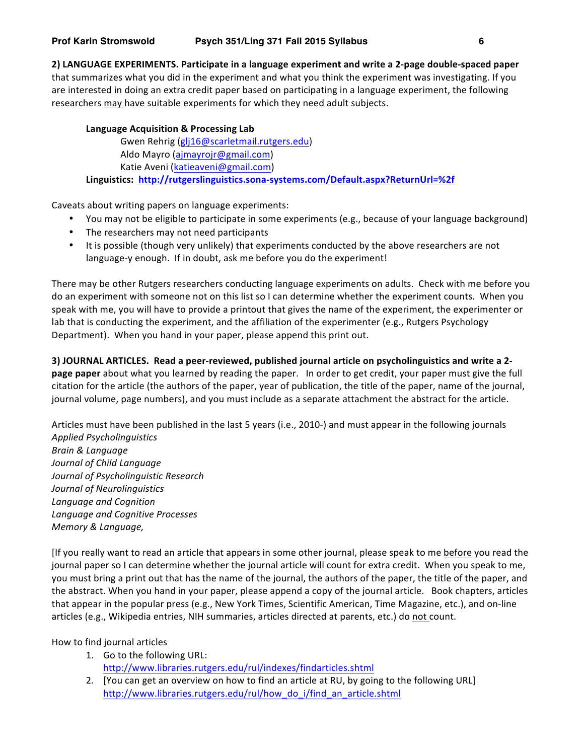**2) LANGUAGE EXPERIMENTS. Participate in a language experiment and write a 2-page double-spaced paper** that summarizes what you did in the experiment and what you think the experiment was investigating. If you are interested in doing an extra credit paper based on participating in a language experiment, the following researchers may have suitable experiments for which they need adult subjects.

# Language Acquisition & Processing Lab

Gwen Rehrig (glj16@scarletmail.rutgers.edu) Aldo Mayro (ajmayrojr@gmail.com) Katie Aveni (katieaveni@gmail.com) **Linguistics: http://rutgerslinguistics.sona-systems.com/Default.aspx?ReturnUrl=%2f**

Caveats about writing papers on language experiments:

- You may not be eligible to participate in some experiments (e.g., because of your language background)
- The researchers may not need participants
- It is possible (though very unlikely) that experiments conducted by the above researchers are not language-y enough. If in doubt, ask me before you do the experiment!

There may be other Rutgers researchers conducting language experiments on adults. Check with me before you do an experiment with someone not on this list so I can determine whether the experiment counts. When you speak with me, you will have to provide a printout that gives the name of the experiment, the experimenter or lab that is conducting the experiment, and the affiliation of the experimenter (e.g., Rutgers Psychology Department). When you hand in your paper, please append this print out.

**3)** JOURNAL ARTICLES. Read a peer-reviewed, published journal article on psycholinguistics and write a 2**page paper** about what you learned by reading the paper. In order to get credit, your paper must give the full citation for the article (the authors of the paper, year of publication, the title of the paper, name of the journal, journal volume, page numbers), and you must include as a separate attachment the abstract for the article.

Articles must have been published in the last 5 years (i.e., 2010-) and must appear in the following journals *Applied Psycholinguistics Brain & Language Journal of Child Language Journal of Psycholinguistic Research Journal of Neurolinguistics Language and Cognition Language and Cognitive Processes Memory & Language,* 

[If you really want to read an article that appears in some other journal, please speak to me before you read the journal paper so I can determine whether the journal article will count for extra credit. When you speak to me, you must bring a print out that has the name of the journal, the authors of the paper, the title of the paper, and the abstract. When you hand in your paper, please append a copy of the journal article. Book chapters, articles that appear in the popular press (e.g., New York Times, Scientific American, Time Magazine, etc.), and on-line articles (e.g., Wikipedia entries, NIH summaries, articles directed at parents, etc.) do not count.

How to find journal articles

- 1. Go to the following URL: http://www.libraries.rutgers.edu/rul/indexes/findarticles.shtml
- 2. [You can get an overview on how to find an article at RU, by going to the following URL] http://www.libraries.rutgers.edu/rul/how\_do\_i/find\_an\_article.shtml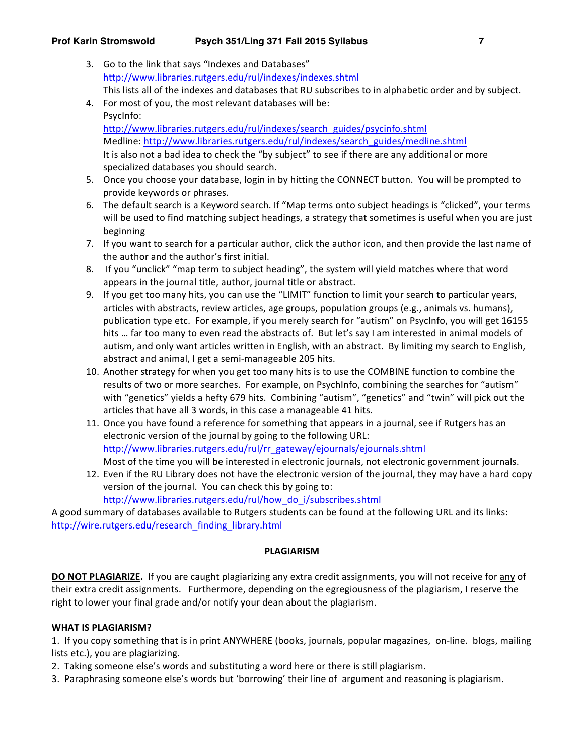- 3. Go to the link that says "Indexes and Databases" http://www.libraries.rutgers.edu/rul/indexes/indexes.shtml This lists all of the indexes and databases that RU subscribes to in alphabetic order and by subject.
- 4. For most of you, the most relevant databases will be: PsycInfo: http://www.libraries.rutgers.edu/rul/indexes/search\_guides/psycinfo.shtml Medline: http://www.libraries.rutgers.edu/rul/indexes/search\_guides/medline.shtml It is also not a bad idea to check the "by subject" to see if there are any additional or more specialized databases you should search.
- 5. Once you choose your database, login in by hitting the CONNECT button. You will be prompted to provide keywords or phrases.
- 6. The default search is a Keyword search. If "Map terms onto subject headings is "clicked", your terms will be used to find matching subject headings, a strategy that sometimes is useful when you are just beginning
- 7. If you want to search for a particular author, click the author icon, and then provide the last name of the author and the author's first initial.
- 8. If you "unclick" "map term to subject heading", the system will yield matches where that word appears in the journal title, author, journal title or abstract.
- 9. If you get too many hits, you can use the "LIMIT" function to limit your search to particular years, articles with abstracts, review articles, age groups, population groups (e.g., animals vs. humans), publication type etc. For example, if you merely search for "autism" on PsycInfo, you will get 16155 hits ... far too many to even read the abstracts of. But let's say I am interested in animal models of autism, and only want articles written in English, with an abstract. By limiting my search to English, abstract and animal, I get a semi-manageable 205 hits.
- 10. Another strategy for when you get too many hits is to use the COMBINE function to combine the results of two or more searches. For example, on PsychInfo, combining the searches for "autism" with "genetics" yields a hefty 679 hits. Combining "autism", "genetics" and "twin" will pick out the articles that have all 3 words, in this case a manageable 41 hits.
- 11. Once you have found a reference for something that appears in a journal, see if Rutgers has an electronic version of the journal by going to the following URL: http://www.libraries.rutgers.edu/rul/rr\_gateway/ejournals/ejournals.shtml Most of the time you will be interested in electronic journals, not electronic government journals.
- 12. Even if the RU Library does not have the electronic version of the journal, they may have a hard copy version of the journal. You can check this by going to: http://www.libraries.rutgers.edu/rul/how\_do\_i/subscribes.shtml

A good summary of databases available to Rutgers students can be found at the following URL and its links: http://wire.rutgers.edu/research\_finding\_library.html

# **PLAGIARISM**

**DO NOT PLAGIARIZE.** If you are caught plagiarizing any extra credit assignments, you will not receive for any of their extra credit assignments. Furthermore, depending on the egregiousness of the plagiarism, I reserve the right to lower your final grade and/or notify your dean about the plagiarism.

# WHAT IS PLAGIARISM?

1. If you copy something that is in print ANYWHERE (books, journals, popular magazines, on-line. blogs, mailing lists etc.), you are plagiarizing.

- 2. Taking someone else's words and substituting a word here or there is still plagiarism.
- 3. Paraphrasing someone else's words but 'borrowing' their line of argument and reasoning is plagiarism.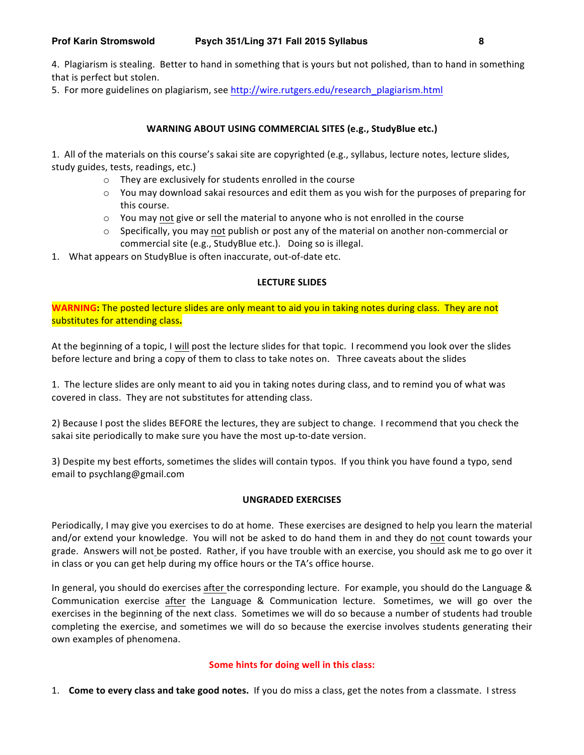4. Plagiarism is stealing. Better to hand in something that is yours but not polished, than to hand in something that is perfect but stolen.

5. For more guidelines on plagiarism, see http://wire.rutgers.edu/research\_plagiarism.html

# WARNING ABOUT USING COMMERCIAL SITES (e.g., StudyBlue etc.)

1. All of the materials on this course's sakai site are copyrighted (e.g., syllabus, lecture notes, lecture slides, study guides, tests, readings, etc.)

- $\circ$  They are exclusively for students enrolled in the course
- $\circ$  You may download sakai resources and edit them as you wish for the purposes of preparing for this course.
- $\circ$  You may not give or sell the material to anyone who is not enrolled in the course
- $\circ$  Specifically, you may not publish or post any of the material on another non-commercial or commercial site (e.g., StudyBlue etc.). Doing so is illegal.
- 1. What appears on StudyBlue is often inaccurate, out-of-date etc.

# **LECTURE SLIDES**

**WARNING:** The posted lecture slides are only meant to aid you in taking notes during class. They are not substitutes for attending class.

At the beginning of a topic, I will post the lecture slides for that topic. I recommend you look over the slides before lecture and bring a copy of them to class to take notes on. Three caveats about the slides

1. The lecture slides are only meant to aid you in taking notes during class, and to remind you of what was covered in class. They are not substitutes for attending class.

2) Because I post the slides BEFORE the lectures, they are subject to change. I recommend that you check the sakai site periodically to make sure you have the most up-to-date version.

3) Despite my best efforts, sometimes the slides will contain typos. If you think you have found a typo, send email to psychlang@gmail.com

# **UNGRADED EXERCISES**

Periodically, I may give you exercises to do at home. These exercises are designed to help you learn the material and/or extend your knowledge. You will not be asked to do hand them in and they do not count towards your grade. Answers will not be posted. Rather, if you have trouble with an exercise, you should ask me to go over it in class or you can get help during my office hours or the TA's office hourse.

In general, you should do exercises after the corresponding lecture. For example, you should do the Language & Communication exercise after the Language & Communication lecture. Sometimes, we will go over the exercises in the beginning of the next class. Sometimes we will do so because a number of students had trouble completing the exercise, and sometimes we will do so because the exercise involves students generating their own examples of phenomena.

# **Some hints for doing well in this class:**

1. **Come to every class and take good notes.** If you do miss a class, get the notes from a classmate. I stress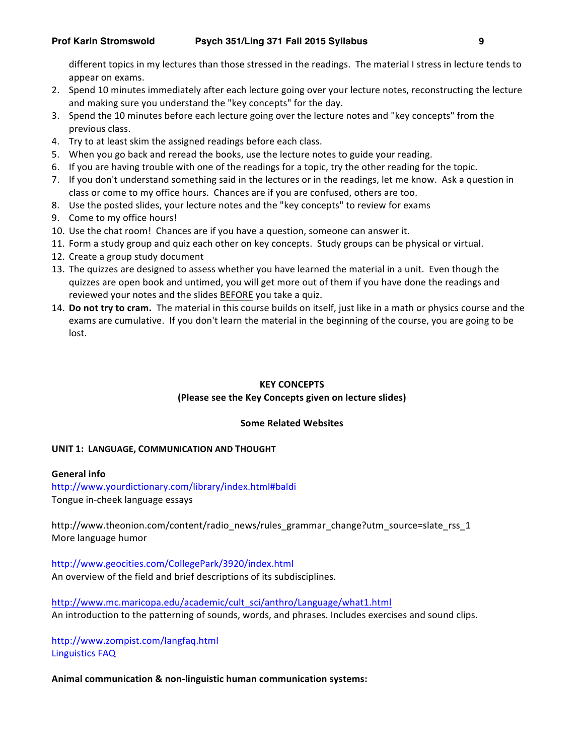different topics in my lectures than those stressed in the readings. The material I stress in lecture tends to appear on exams.

- 2. Spend 10 minutes immediately after each lecture going over your lecture notes, reconstructing the lecture and making sure you understand the "key concepts" for the day.
- 3. Spend the 10 minutes before each lecture going over the lecture notes and "key concepts" from the previous class.
- 4. Try to at least skim the assigned readings before each class.
- 5. When you go back and reread the books, use the lecture notes to guide your reading.
- 6. If you are having trouble with one of the readings for a topic, try the other reading for the topic.
- 7. If you don't understand something said in the lectures or in the readings, let me know. Ask a question in class or come to my office hours. Chances are if you are confused, others are too.
- 8. Use the posted slides, your lecture notes and the "key concepts" to review for exams
- 9. Come to my office hours!
- 10. Use the chat room! Chances are if you have a question, someone can answer it.
- 11. Form a study group and quiz each other on key concepts. Study groups can be physical or virtual.
- 12. Create a group study document
- 13. The quizzes are designed to assess whether you have learned the material in a unit. Even though the quizzes are open book and untimed, you will get more out of them if you have done the readings and reviewed your notes and the slides BEFORE you take a quiz.
- 14. **Do not try to cram.** The material in this course builds on itself, just like in a math or physics course and the exams are cumulative. If you don't learn the material in the beginning of the course, you are going to be lost.

# **KEY CONCEPTS**

# (Please see the Key Concepts given on lecture slides)

# **Some Related Websites**

# **UNIT 1: LANGUAGE, COMMUNICATION AND THOUGHT**

# **General info**

http://www.yourdictionary.com/library/index.html#baldi Tongue in-cheek language essays

http://www.theonion.com/content/radio\_news/rules\_grammar\_change?utm\_source=slate\_rss\_1 More language humor

http://www.geocities.com/CollegePark/3920/index.html

An overview of the field and brief descriptions of its subdisciplines.

http://www.mc.maricopa.edu/academic/cult\_sci/anthro/Language/what1.html An introduction to the patterning of sounds, words, and phrases. Includes exercises and sound clips.

http://www.zompist.com/langfaq.html Linguistics FAQ

# Animal communication & non-linguistic human communication systems: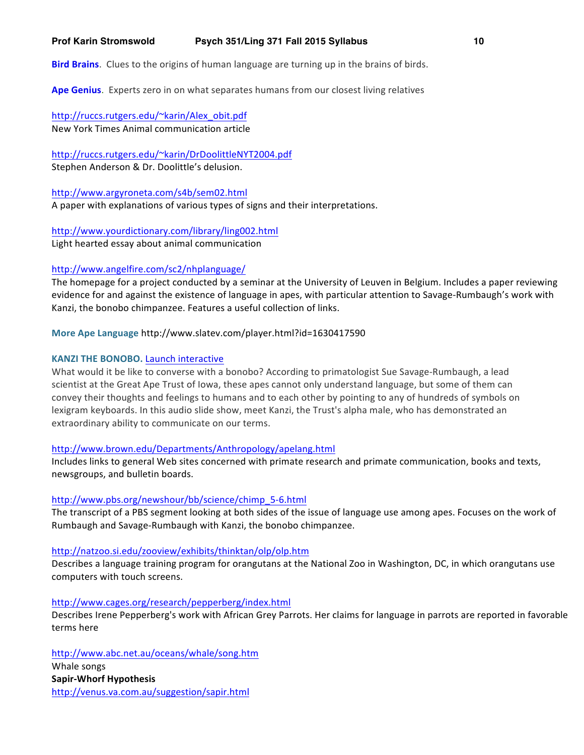**Ape Genius**. Experts zero in on what separates humans from our closest living relatives

http://ruccs.rutgers.edu/~karin/Alex\_obit.pdf New York Times Animal communication article

http://ruccs.rutgers.edu/~karin/DrDoolittleNYT2004.pdf

Stephen Anderson & Dr. Doolittle's delusion.

http://www.argyroneta.com/s4b/sem02.html A paper with explanations of various types of signs and their interpretations.

http://www.yourdictionary.com/library/ling002.html Light hearted essay about animal communication

# http://www.angelfire.com/sc2/nhplanguage/

The homepage for a project conducted by a seminar at the University of Leuven in Belgium. Includes a paper reviewing evidence for and against the existence of language in apes, with particular attention to Savage-Rumbaugh's work with Kanzi, the bonobo chimpanzee. Features a useful collection of links.

# **More Ape Language http://www.slatev.com/player.html?id=1630417590**

## **KANZI THE BONOBO.** Launch interactive

What would it be like to converse with a bonobo? According to primatologist Sue Savage-Rumbaugh, a lead scientist at the Great Ape Trust of Iowa, these apes cannot only understand language, but some of them can convey their thoughts and feelings to humans and to each other by pointing to any of hundreds of symbols on lexigram keyboards. In this audio slide show, meet Kanzi, the Trust's alpha male, who has demonstrated an extraordinary ability to communicate on our terms.

#### http://www.brown.edu/Departments/Anthropology/apelang.html

Includes links to general Web sites concerned with primate research and primate communication, books and texts, newsgroups, and bulletin boards.

#### http://www.pbs.org/newshour/bb/science/chimp\_5-6.html

The transcript of a PBS segment looking at both sides of the issue of language use among apes. Focuses on the work of Rumbaugh and Savage-Rumbaugh with Kanzi, the bonobo chimpanzee.

#### http://natzoo.si.edu/zooview/exhibits/thinktan/olp/olp.htm

Describes a language training program for orangutans at the National Zoo in Washington, DC, in which orangutans use computers with touch screens.

#### http://www.cages.org/research/pepperberg/index.html

Describes Irene Pepperberg's work with African Grey Parrots. Her claims for language in parrots are reported in favorable terms here

http://www.abc.net.au/oceans/whale/song.htm Whale songs **Sapir-Whorf Hypothesis** http://venus.va.com.au/suggestion/sapir.html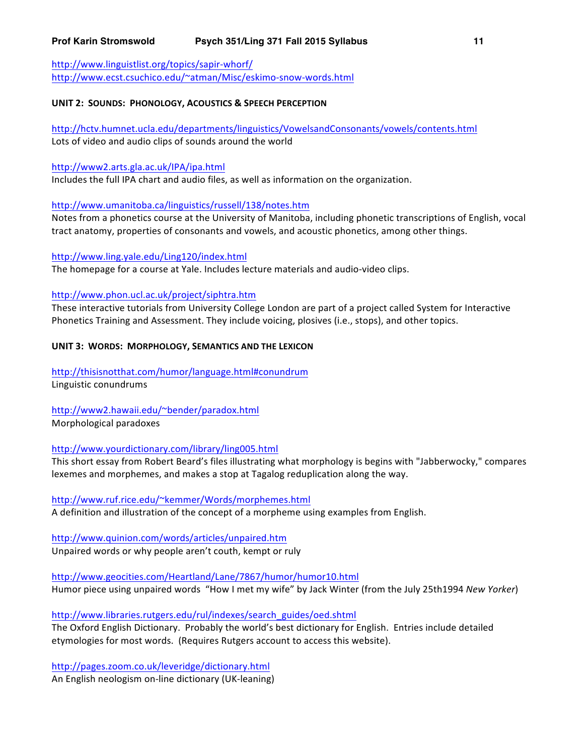http://www.linguistlist.org/topics/sapir-whorf/ http://www.ecst.csuchico.edu/~atman/Misc/eskimo-snow-words.html

## **UNIT 2: SOUNDS: PHONOLOGY, ACOUSTICS & SPEECH PERCEPTION**

http://hctv.humnet.ucla.edu/departments/linguistics/VowelsandConsonants/vowels/contents.html Lots of video and audio clips of sounds around the world

# http://www2.arts.gla.ac.uk/IPA/ipa.html

Includes the full IPA chart and audio files, as well as information on the organization.

# http://www.umanitoba.ca/linguistics/russell/138/notes.htm

Notes from a phonetics course at the University of Manitoba, including phonetic transcriptions of English, vocal tract anatomy, properties of consonants and vowels, and acoustic phonetics, among other things.

# http://www.ling.yale.edu/Ling120/index.html

The homepage for a course at Yale. Includes lecture materials and audio-video clips.

# http://www.phon.ucl.ac.uk/project/siphtra.htm

These interactive tutorials from University College London are part of a project called System for Interactive Phonetics Training and Assessment. They include voicing, plosives (i.e., stops), and other topics.

# **UNIT 3: WORDS: MORPHOLOGY, SEMANTICS AND THE LEXICON**

http://thisisnotthat.com/humor/language.html#conundrum Linguistic conundrums

# http://www2.hawaii.edu/~bender/paradox.html

Morphological paradoxes

# http://www.yourdictionary.com/library/ling005.html

This short essay from Robert Beard's files illustrating what morphology is begins with "Jabberwocky," compares lexemes and morphemes, and makes a stop at Tagalog reduplication along the way.

# http://www.ruf.rice.edu/~kemmer/Words/morphemes.html

A definition and illustration of the concept of a morpheme using examples from English.

# http://www.quinion.com/words/articles/unpaired.htm Unpaired words or why people aren't couth, kempt or ruly

http://www.geocities.com/Heartland/Lane/7867/humor/humor10.html

Humor piece using unpaired words "How I met my wife" by Jack Winter (from the July 25th1994 *New Yorker*)

# http://www.libraries.rutgers.edu/rul/indexes/search\_guides/oed.shtml

The Oxford English Dictionary. Probably the world's best dictionary for English. Entries include detailed etymologies for most words. (Requires Rutgers account to access this website).

http://pages.zoom.co.uk/leveridge/dictionary.html An English neologism on-line dictionary (UK-leaning)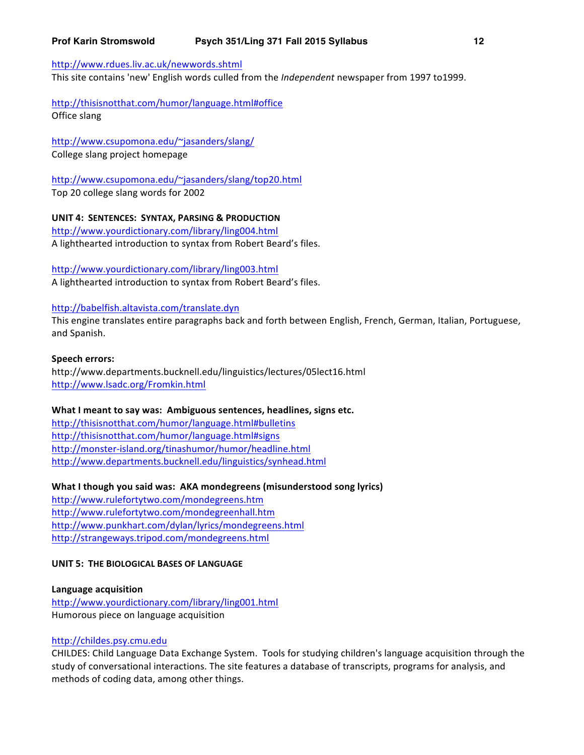#### http://www.rdues.liv.ac.uk/newwords.shtml

This site contains 'new' English words culled from the *Independent* newspaper from 1997 to1999.

http://thisisnotthat.com/humor/language.html#office Office slang

http://www.csupomona.edu/~jasanders/slang/ College slang project homepage

http://www.csupomona.edu/~jasanders/slang/top20.html Top 20 college slang words for 2002

**UNIT 4: SENTENCES: SYNTAX, PARSING & PRODUCTION**

http://www.yourdictionary.com/library/ling004.html A lighthearted introduction to syntax from Robert Beard's files.

http://www.yourdictionary.com/library/ling003.html A lighthearted introduction to syntax from Robert Beard's files.

#### http://babelfish.altavista.com/translate.dyn

This engine translates entire paragraphs back and forth between English, French, German, Italian, Portuguese, and Spanish.

#### **Speech errors:**

http://www.departments.bucknell.edu/linguistics/lectures/05lect16.html http://www.lsadc.org/Fromkin.html

#### What I meant to say was: Ambiguous sentences, headlines, signs etc.

http://thisisnotthat.com/humor/language.html#bulletins http://thisisnotthat.com/humor/language.html#signs http://monster-island.org/tinashumor/humor/headline.html http://www.departments.bucknell.edu/linguistics/synhead.html

What I though you said was: AKA mondegreens (misunderstood song lyrics)

http://www.rulefortytwo.com/mondegreens.htm http://www.rulefortytwo.com/mondegreenhall.htm http://www.punkhart.com/dylan/lyrics/mondegreens.html http://strangeways.tripod.com/mondegreens.html

### **UNIT 5: THE BIOLOGICAL BASES OF LANGUAGE**

**Language acquisition** http://www.yourdictionary.com/library/ling001.html Humorous piece on language acquisition

#### http://childes.psy.cmu.edu

CHILDES: Child Language Data Exchange System. Tools for studying children's language acquisition through the study of conversational interactions. The site features a database of transcripts, programs for analysis, and methods of coding data, among other things.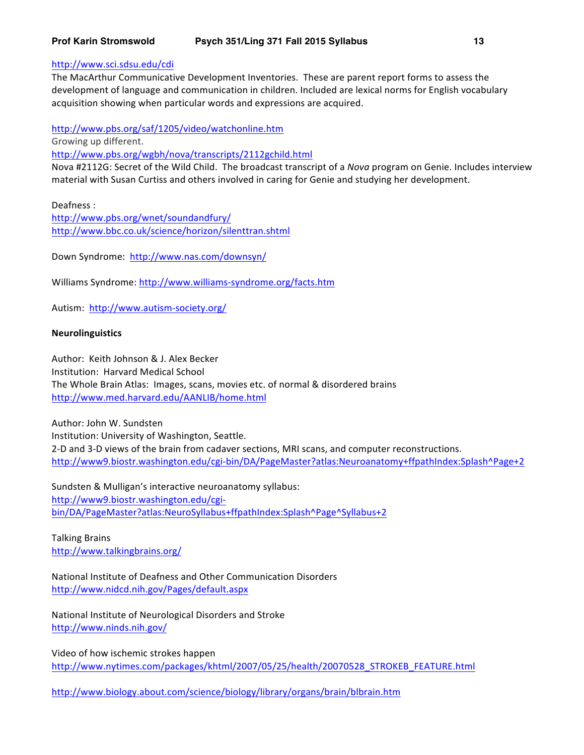# http://www.sci.sdsu.edu/cdi

The MacArthur Communicative Development Inventories. These are parent report forms to assess the development of language and communication in children. Included are lexical norms for English vocabulary acquisition showing when particular words and expressions are acquired.

http://www.pbs.org/saf/1205/video/watchonline.htm Growing up different. http://www.pbs.org/wgbh/nova/transcripts/2112gchild.html

Nova #2112G: Secret of the Wild Child. The broadcast transcript of a *Nova* program on Genie. Includes interview material with Susan Curtiss and others involved in caring for Genie and studying her development.

Deafness : http://www.pbs.org/wnet/soundandfury/ http://www.bbc.co.uk/science/horizon/silenttran.shtml

Down Syndrome: http://www.nas.com/downsyn/

Williams Syndrome: http://www.williams-syndrome.org/facts.htm

Autism: http://www.autism-society.org/

## **Neurolinguistics**

Author: Keith Johnson & J. Alex Becker Institution: Harvard Medical School The Whole Brain Atlas: Images, scans, movies etc. of normal & disordered brains http://www.med.harvard.edu/AANLIB/home.html

Author: John W. Sundsten Institution: University of Washington, Seattle. 2-D and 3-D views of the brain from cadaver sections, MRI scans, and computer reconstructions. http://www9.biostr.washington.edu/cgi-bin/DA/PageMaster?atlas:Neuroanatomy+ffpathIndex:Splash^Page+2

Sundsten & Mulligan's interactive neuroanatomy syllabus: http://www9.biostr.washington.edu/cgibin/DA/PageMaster?atlas:NeuroSyllabus+ffpathIndex:Splash^Page^Syllabus+2

Talking Brains http://www.talkingbrains.org/

National Institute of Deafness and Other Communication Disorders http://www.nidcd.nih.gov/Pages/default.aspx

National Institute of Neurological Disorders and Stroke http://www.ninds.nih.gov/

Video of how ischemic strokes happen http://www.nytimes.com/packages/khtml/2007/05/25/health/20070528\_STROKEB\_FEATURE.html

http://www.biology.about.com/science/biology/library/organs/brain/blbrain.htm